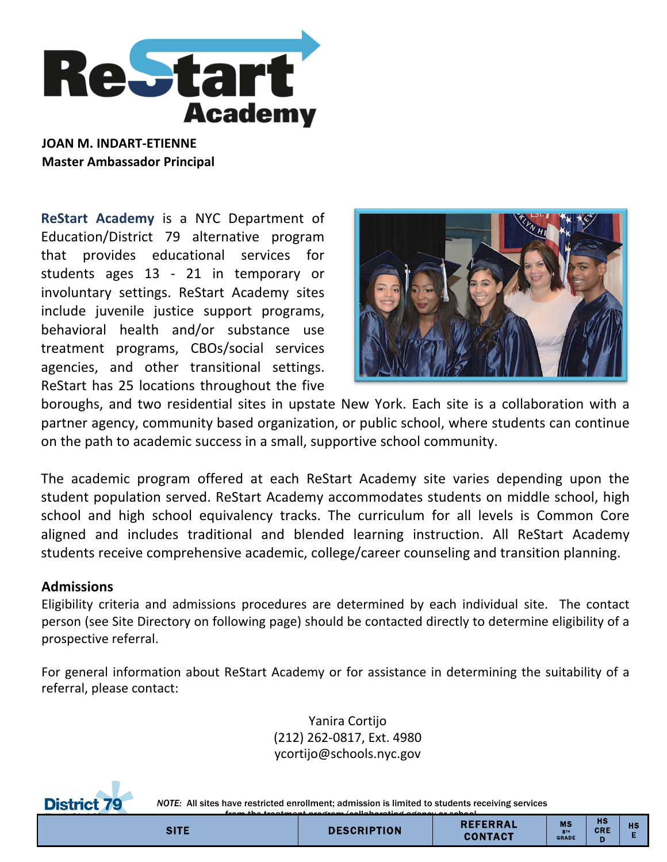

**JOAN M. INDART-ETIENNE Master Ambassador Principal** 

**ReStart Academy** is a NYC Department of Education/District 79 alternative program that provides educational services for students ages 13 - 21 in temporary or involuntary settings. ReStart Academy sites include juvenile justice support programs, behavioral health and/or substance use treatment programs, CBOs/social services agencies, and other transitional settings. ReStart has 25 locations throughout the five



boroughs, and two residential sites in upstate New York. Each site is a collaboration with a partner agency, community based organization, or public school, where students can continue on the path to academic success in a small, supportive school community.

The academic program offered at each ReStart Academy site varies depending upon the student population served. ReStart Academy accommodates students on middle school, high school and high school equivalency tracks. The curriculum for all levels is Common Core aligned and includes traditional and blended learning instruction. All ReStart Academy students receive comprehensive academic, college/career counseling and transition planning.

## **Admissions**

Eligibility criteria and admissions procedures are determined by each individual site. The contact person (see Site Directory on following page) should be contacted directly to determine eligibility of a prospective referral.

For general information about ReStart Academy or for assistance in determining the suitability of a referral, please contact:

> Yanira Cortijo (212) 262-0817, Ext. 4980 ycortijo@schools.nyc.gov



**District 79** NOTE: All sites have restricted enrollment; admission is limited to students receiving services

| ____<br>____<br>from the treatment wrocres (as light withing against an asked) |                    |                            |                                             |                         |           |  |  |  |  |
|--------------------------------------------------------------------------------|--------------------|----------------------------|---------------------------------------------|-------------------------|-----------|--|--|--|--|
| <b>SITE</b>                                                                    | <b>DESCRIPTION</b> | <b>REFERRAL</b><br>CONTACT | <b>MS</b><br>8 <sub>m</sub><br><b>GRADE</b> | <b>HS</b><br><b>CRE</b> | <b>HS</b> |  |  |  |  |